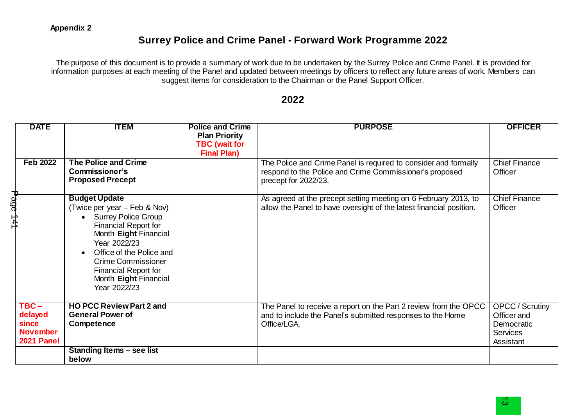## **Surrey Police and Crime Panel - Forward Work Programme 2022**

The purpose of this document is to provide a summary of work due to be undertaken by the Surrey Police and Crime Panel. It is provided for information purposes at each meeting of the Panel and updated between meetings by officers to reflect any future areas of work. Members can suggest items for consideration to the Chairman or the Panel Support Officer.

## **2022**

| <b>DATE</b>                                                  | <b>ITEM</b>                                                                                                                                                                                                                                                                            | <b>Police and Crime</b><br><b>Plan Priority</b><br><b>TBC</b> (wait for | <b>PURPOSE</b>                                                                                                                                     | <b>OFFICER</b>                                                                      |
|--------------------------------------------------------------|----------------------------------------------------------------------------------------------------------------------------------------------------------------------------------------------------------------------------------------------------------------------------------------|-------------------------------------------------------------------------|----------------------------------------------------------------------------------------------------------------------------------------------------|-------------------------------------------------------------------------------------|
| <b>Feb 2022</b>                                              | The Police and Crime<br><b>Commissioner's</b><br><b>Proposed Precept</b>                                                                                                                                                                                                               | <b>Final Plan)</b>                                                      | The Police and Crime Panel is required to consider and formally<br>respond to the Police and Crime Commissioner's proposed<br>precept for 2022/23. | <b>Chief Finance</b><br>Officer                                                     |
| age<br>P<br>141                                              | <b>Budget Update</b><br>(Twice per year – Feb & Nov)<br>• Surrey Police Group<br><b>Financial Report for</b><br>Month Eight Financial<br>Year 2022/23<br>Office of the Police and<br><b>Crime Commissioner</b><br><b>Financial Report for</b><br>Month Eight Financial<br>Year 2022/23 |                                                                         | As agreed at the precept setting meeting on 6 February 2013, to<br>allow the Panel to have oversight of the latest financial position.             | <b>Chief Finance</b><br>Officer                                                     |
| $TBC -$<br>delayed<br>since<br><b>November</b><br>2021 Panel | <b>HO PCC Review Part 2 and</b><br><b>General Power of</b><br>Competence                                                                                                                                                                                                               |                                                                         | The Panel to receive a report on the Part 2 review from the OPCC<br>and to include the Panel's submitted responses to the Home<br>Office/LGA.      | <b>OPCC</b> / Scrutiny<br>Officer and<br>Democratic<br><b>Services</b><br>Assistant |
|                                                              | Standing Items - see list<br>below                                                                                                                                                                                                                                                     |                                                                         |                                                                                                                                                    |                                                                                     |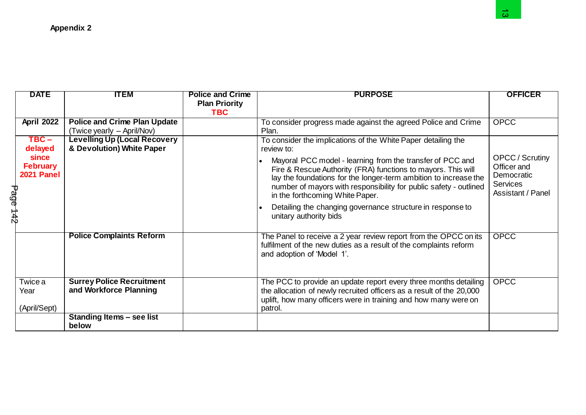|          |                         |                                     |                                    |                                                                                                                           | $\omega$               |
|----------|-------------------------|-------------------------------------|------------------------------------|---------------------------------------------------------------------------------------------------------------------------|------------------------|
|          |                         | <b>Appendix 2</b>                   |                                    |                                                                                                                           |                        |
|          |                         |                                     |                                    |                                                                                                                           |                        |
|          |                         |                                     |                                    |                                                                                                                           |                        |
|          |                         |                                     |                                    |                                                                                                                           |                        |
|          |                         |                                     |                                    |                                                                                                                           |                        |
|          |                         |                                     |                                    |                                                                                                                           |                        |
|          | <b>DATE</b>             | <b>ITEM</b>                         | <b>Police and Crime</b>            | <b>PURPOSE</b>                                                                                                            | <b>OFFICER</b>         |
|          |                         |                                     | <b>Plan Priority</b><br><b>TBC</b> |                                                                                                                           |                        |
|          | <b>April 2022</b>       | <b>Police and Crime Plan Update</b> |                                    | To consider progress made against the agreed Police and Crime                                                             | <b>OPCC</b>            |
|          |                         | (Twice yearly – April/Nov)          |                                    | Plan.                                                                                                                     |                        |
|          | $TBC -$                 | <b>Levelling Up (Local Recovery</b> |                                    | To consider the implications of the White Paper detailing the                                                             |                        |
|          | delayed<br><b>since</b> | & Devolution) White Paper           |                                    | review to:                                                                                                                | <b>OPCC</b> / Scrutiny |
|          | <b>February</b>         |                                     |                                    | Mayoral PCC model - learning from the transfer of PCC and<br>Fire & Rescue Authority (FRA) functions to mayors. This will | Officer and            |
|          | 2021 Panel              |                                     |                                    | lay the foundations for the longer-term ambition to increase the                                                          | Democratic             |
|          |                         |                                     |                                    | number of mayors with responsibility for public safety - outlined                                                         | <b>Services</b>        |
|          |                         |                                     |                                    | in the forthcoming White Paper.                                                                                           | Assistant / Panel      |
| Page 142 |                         |                                     |                                    | Detailing the changing governance structure in response to                                                                |                        |
|          |                         |                                     |                                    | unitary authority bids                                                                                                    |                        |
|          |                         | <b>Police Complaints Reform</b>     |                                    | The Panel to receive a 2 year review report from the OPCC on its                                                          | <b>OPCC</b>            |
|          |                         |                                     |                                    | fulfilment of the new duties as a result of the complaints reform                                                         |                        |
|          |                         |                                     |                                    | and adoption of 'Model 1'.                                                                                                |                        |
|          |                         |                                     |                                    |                                                                                                                           |                        |
|          | Twice a                 | <b>Surrey Police Recruitment</b>    |                                    | The PCC to provide an update report every three months detailing                                                          | <b>OPCC</b>            |
|          | Year                    | and Workforce Planning              |                                    | the allocation of newly recruited officers as a result of the 20,000                                                      |                        |
|          |                         |                                     |                                    | uplift, how many officers were in training and how many were on                                                           |                        |
|          | (April/Sept)            |                                     |                                    | patrol.                                                                                                                   |                        |
|          |                         | Standing Items - see list<br>below  |                                    |                                                                                                                           |                        |
|          |                         |                                     |                                    |                                                                                                                           |                        |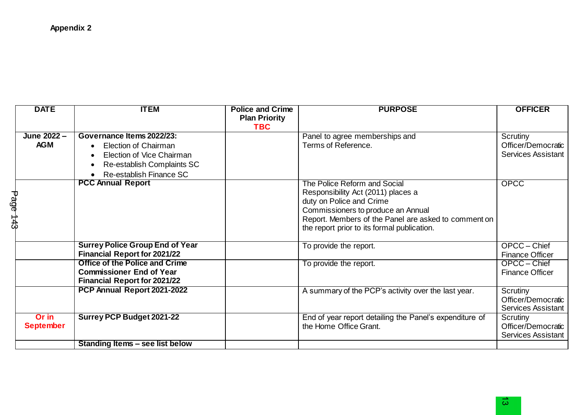|          | <b>DATE</b>               | <b>ITEM</b>                                                                                                                                    | <b>Police and Crime</b><br><b>Plan Priority</b><br><b>TBC</b> | <b>PURPOSE</b>                                                                                                                                                                                                                              | <b>OFFICER</b>                                              |
|----------|---------------------------|------------------------------------------------------------------------------------------------------------------------------------------------|---------------------------------------------------------------|---------------------------------------------------------------------------------------------------------------------------------------------------------------------------------------------------------------------------------------------|-------------------------------------------------------------|
|          | June 2022 -<br><b>AGM</b> | Governance Items 2022/23:<br><b>Election of Chairman</b><br>Election of Vice Chairman<br>Re-establish Complaints SC<br>Re-establish Finance SC |                                                               | Panel to agree memberships and<br>Terms of Reference.                                                                                                                                                                                       | Scrutiny<br>Officer/Democratic<br><b>Services Assistant</b> |
| Page 143 |                           | <b>PCC Annual Report</b>                                                                                                                       |                                                               | The Police Reform and Social<br>Responsibility Act (2011) places a<br>duty on Police and Crime<br>Commissioners to produce an Annual<br>Report. Members of the Panel are asked to comment on<br>the report prior to its formal publication. | <b>OPCC</b>                                                 |
|          |                           | <b>Surrey Police Group End of Year</b><br><b>Financial Report for 2021/22</b>                                                                  |                                                               | To provide the report.                                                                                                                                                                                                                      | OPCC - Chief<br><b>Finance Officer</b>                      |
|          |                           | <b>Office of the Police and Crime</b><br><b>Commissioner End of Year</b><br><b>Financial Report for 2021/22</b>                                |                                                               | To provide the report.                                                                                                                                                                                                                      | OPCC - Chief<br><b>Finance Officer</b>                      |
|          |                           | PCP Annual Report 2021-2022                                                                                                                    |                                                               | A summary of the PCP's activity over the last year.                                                                                                                                                                                         | Scrutiny<br>Officer/Democratic<br><b>Services Assistant</b> |
|          | Or in<br><b>September</b> | <b>Surrey PCP Budget 2021-22</b>                                                                                                               |                                                               | End of year report detailing the Panel's expenditure of<br>the Home Office Grant.                                                                                                                                                           | Scrutiny<br>Officer/Democratic<br><b>Services Assistant</b> |
|          |                           | Standing Items - see list below                                                                                                                |                                                               |                                                                                                                                                                                                                                             |                                                             |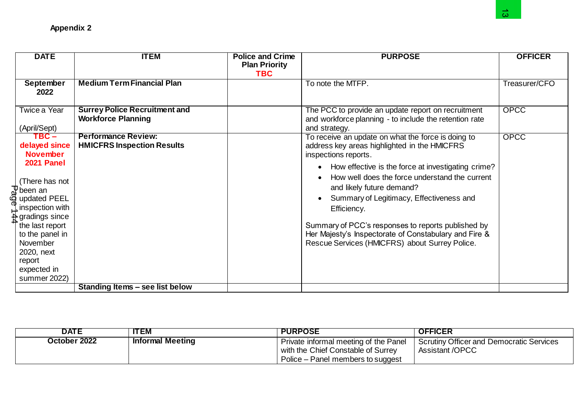| <b>Appendix 2</b>                                                                                                                                                                                                                                                                        |                                                                   |                                                               |                                                                                                                                                                                                                                                                                                                                                                                                                                                                                                          | $\omega$       |
|------------------------------------------------------------------------------------------------------------------------------------------------------------------------------------------------------------------------------------------------------------------------------------------|-------------------------------------------------------------------|---------------------------------------------------------------|----------------------------------------------------------------------------------------------------------------------------------------------------------------------------------------------------------------------------------------------------------------------------------------------------------------------------------------------------------------------------------------------------------------------------------------------------------------------------------------------------------|----------------|
| <b>DATE</b>                                                                                                                                                                                                                                                                              | <b>ITEM</b>                                                       | <b>Police and Crime</b><br><b>Plan Priority</b><br><b>TBC</b> | <b>PURPOSE</b>                                                                                                                                                                                                                                                                                                                                                                                                                                                                                           | <b>OFFICER</b> |
| <b>September</b><br>2022                                                                                                                                                                                                                                                                 | <b>Medium Term Financial Plan</b>                                 |                                                               | To note the MTFP.                                                                                                                                                                                                                                                                                                                                                                                                                                                                                        | Treasurer/CFO  |
| Twice a Year<br>(April/Sept)                                                                                                                                                                                                                                                             | <b>Surrey Police Recruitment and</b><br><b>Workforce Planning</b> |                                                               | The PCC to provide an update report on recruitment<br>and workforce planning - to include the retention rate<br>and strategy.                                                                                                                                                                                                                                                                                                                                                                            | <b>OPCC</b>    |
| $TBC -$<br>delayed since<br><b>November</b><br>2021 Panel<br>(There has not<br>$\mathbb{J}$ been an<br>updated PEEL<br>inspection with<br>$\frac{1}{\mathbf{R}}$ gradings since<br>the last report<br>to the panel in<br>November<br>2020, next<br>report<br>expected in<br>summer 2022) | <b>Performance Review:</b><br><b>HMICFRS Inspection Results</b>   |                                                               | To receive an update on what the force is doing to<br>address key areas highlighted in the HMICFRS<br>inspections reports.<br>How effective is the force at investigating crime?<br>$\bullet$<br>How well does the force understand the current<br>and likely future demand?<br>Summary of Legitimacy, Effectiveness and<br>Efficiency.<br>Summary of PCC's responses to reports published by<br>Her Majesty's Inspectorate of Constabulary and Fire &<br>Rescue Services (HMICFRS) about Surrey Police. | <b>OPCC</b>    |
|                                                                                                                                                                                                                                                                                          | Standing Items - see list below                                   |                                                               |                                                                                                                                                                                                                                                                                                                                                                                                                                                                                                          |                |

| <b>DATE</b>  | <b>ITEM</b>             | <b>PURPOSE</b>                        | <b>OFFICER</b>                           |
|--------------|-------------------------|---------------------------------------|------------------------------------------|
| October 2022 | <b>Informal Meeting</b> | Private informal meeting of the Panel | Scrutiny Officer and Democratic Services |
|              |                         | with the Chief Constable of Surrey    | <b>Assistant /OPCC</b>                   |
|              |                         | Police – Panel members to suggest     |                                          |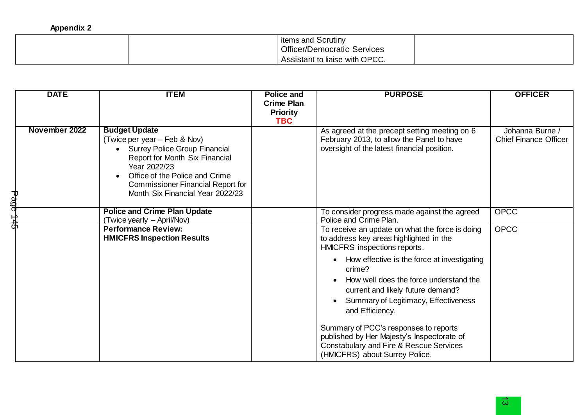| <b>Appendix 2</b> |  |
|-------------------|--|
|-------------------|--|

| items and Scrutiny<br><b>Officer/Democratic Services</b> |  |
|----------------------------------------------------------|--|
| Assistant to liaise with OPCC.                           |  |

|          | <b>DATE</b>   | <b>ITEM</b>                                                                                                                                                                                                                                                      | <b>Police and</b><br><b>Crime Plan</b><br><b>Priority</b><br><b>TBC</b> | <b>PURPOSE</b>                                                                                                                                                                                                                                                                                                                                                                                                                                                                                               | <b>OFFICER</b>                                  |
|----------|---------------|------------------------------------------------------------------------------------------------------------------------------------------------------------------------------------------------------------------------------------------------------------------|-------------------------------------------------------------------------|--------------------------------------------------------------------------------------------------------------------------------------------------------------------------------------------------------------------------------------------------------------------------------------------------------------------------------------------------------------------------------------------------------------------------------------------------------------------------------------------------------------|-------------------------------------------------|
| Page     | November 2022 | <b>Budget Update</b><br>(Twice per year – Feb & Nov)<br><b>Surrey Police Group Financial</b><br>Report for Month Six Financial<br>Year 2022/23<br>Office of the Police and Crime<br><b>Commissioner Financial Report for</b><br>Month Six Financial Year 2022/23 |                                                                         | As agreed at the precept setting meeting on 6<br>February 2013, to allow the Panel to have<br>oversight of the latest financial position.                                                                                                                                                                                                                                                                                                                                                                    | Johanna Burne /<br><b>Chief Finance Officer</b> |
| 44<br>45 |               | <b>Police and Crime Plan Update</b><br>(Twice yearly – April/Nov)                                                                                                                                                                                                |                                                                         | To consider progress made against the agreed<br>Police and Crime Plan.                                                                                                                                                                                                                                                                                                                                                                                                                                       | <b>OPCC</b>                                     |
|          |               | <b>Performance Review:</b><br><b>HMICFRS Inspection Results</b>                                                                                                                                                                                                  |                                                                         | To receive an update on what the force is doing<br>to address key areas highlighted in the<br>HMICFRS inspections reports.<br>How effective is the force at investigating<br>crime?<br>How well does the force understand the<br>current and likely future demand?<br>Summary of Legitimacy, Effectiveness<br>and Efficiency.<br>Summary of PCC's responses to reports<br>published by Her Majesty's Inspectorate of<br><b>Constabulary and Fire &amp; Rescue Services</b><br>(HMICFRS) about Surrey Police. | <b>OPCC</b>                                     |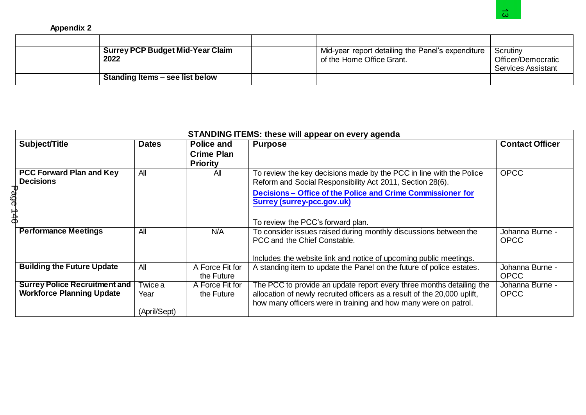## **Appendix 2**

| <b>Surrey PCP Budget Mid-Year Claim</b><br>2022 | ' Mid-year report detailing the Panel's expenditure<br>of the Home Office Grant. | Scrutiny<br>Officer/Democratic<br><b>Services Assistant</b> |
|-------------------------------------------------|----------------------------------------------------------------------------------|-------------------------------------------------------------|
| Standing Items – see list below                 |                                                                                  |                                                             |

|                                                                          |                                         |                                                    |                                                                                                                                                  | $\omega$                                                    |
|--------------------------------------------------------------------------|-----------------------------------------|----------------------------------------------------|--------------------------------------------------------------------------------------------------------------------------------------------------|-------------------------------------------------------------|
| <b>Appendix 2</b>                                                        |                                         |                                                    |                                                                                                                                                  |                                                             |
|                                                                          |                                         |                                                    |                                                                                                                                                  |                                                             |
| 2022                                                                     | <b>Surrey PCP Budget Mid-Year Claim</b> |                                                    | Mid-year report detailing the Panel's expenditure<br>of the Home Office Grant.                                                                   | Scrutiny<br>Officer/Democratic<br><b>Services Assistant</b> |
|                                                                          | Standing Items - see list below         |                                                    |                                                                                                                                                  |                                                             |
|                                                                          |                                         |                                                    |                                                                                                                                                  |                                                             |
|                                                                          |                                         |                                                    | <b>STANDING ITEMS: these will appear on every agenda</b>                                                                                         |                                                             |
| Subject/Title                                                            | <b>Dates</b>                            | Police and<br><b>Crime Plan</b><br><b>Priority</b> | <b>Purpose</b>                                                                                                                                   | <b>Contact Officer</b>                                      |
| <b>PCC Forward Plan and Key</b><br><b>Decisions</b>                      | AlI                                     | AlI                                                | To review the key decisions made by the PCC in line with the Police<br>Reform and Social Responsibility Act 2011, Section 28(6).                 | <b>OPCC</b>                                                 |
| Page 146                                                                 |                                         |                                                    | Decisions - Office of the Police and Crime Commissioner for<br><b>Surrey (surrey-pcc.gov.uk)</b>                                                 |                                                             |
|                                                                          |                                         |                                                    | To review the PCC's forward plan.                                                                                                                |                                                             |
| <b>Performance Meetings</b>                                              | All                                     | N/A                                                | To consider issues raised during monthly discussions between the<br>PCC and the Chief Constable.                                                 | Johanna Burne -<br><b>OPCC</b>                              |
|                                                                          |                                         |                                                    | Includes the website link and notice of upcoming public meetings.                                                                                |                                                             |
| <b>Building the Future Update</b>                                        | $\overline{All}$                        | A Force Fit for<br>the Future                      | A standing item to update the Panel on the future of police estates.                                                                             | Johanna Burne -<br><b>OPCC</b>                              |
| <b>Surrey Police Recruitment and</b><br><b>Workforce Planning Update</b> | <b>Twice a</b><br>Year                  | A Force Fit for<br>the Future                      | The PCC to provide an update report every three months detailing the<br>allocation of newly recruited officers as a result of the 20,000 uplift, | Johanna Burne -<br><b>OPCC</b>                              |
|                                                                          | (April/Sept)                            |                                                    | how many officers were in training and how many were on patrol.                                                                                  |                                                             |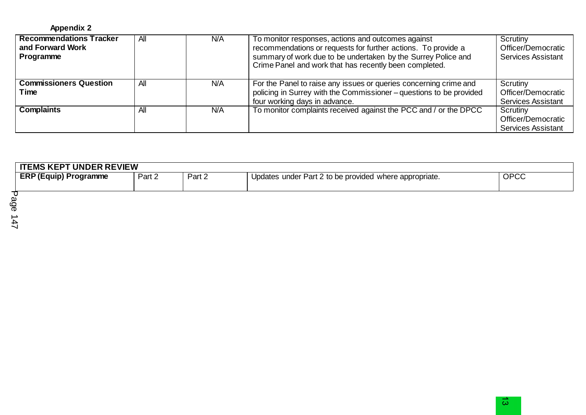| <b>Recommendations Tracker</b><br>and Forward Work<br>Programme | All | N/A | To monitor responses, actions and outcomes against<br>recommendations or requests for further actions. To provide a<br>summary of work due to be undertaken by the Surrey Police and<br>Crime Panel and work that has recently been completed. | Scrutiny<br>Officer/Democratic<br><b>Services Assistant</b> |
|-----------------------------------------------------------------|-----|-----|------------------------------------------------------------------------------------------------------------------------------------------------------------------------------------------------------------------------------------------------|-------------------------------------------------------------|
| <b>Commissioners Question</b><br>Time                           | All | N/A | For the Panel to raise any issues or queries concerning crime and<br>policing in Surrey with the Commissioner - questions to be provided<br>four working days in advance.                                                                      | Scrutiny<br>Officer/Democratic<br><b>Services Assistant</b> |
| <b>Complaints</b>                                               | All | N/A | To monitor complaints received against the PCC and / or the DPCC                                                                                                                                                                               | Scrutiny<br>Officer/Democratic<br><b>Services Assistant</b> |

| <b>ITEMS KEPT UNDER REVIEW</b> |        |        |                                                        |      |
|--------------------------------|--------|--------|--------------------------------------------------------|------|
| <b>ERP (Equip) Programme</b>   | Part 2 | Part 2 | Updates under Part 2 to be provided where appropriate. | OPCC |
|                                |        |        |                                                        |      |